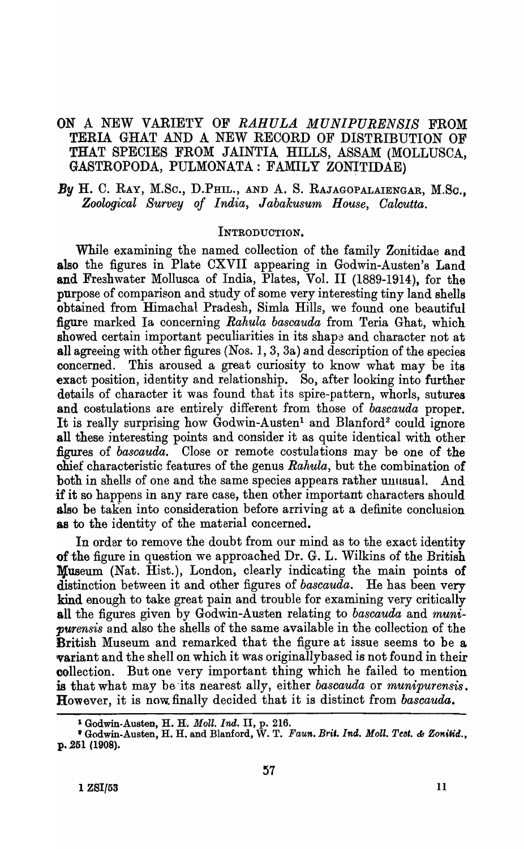## ON A NEW VARIETY OF *RAHULA MUNIPURENSIS* FROM TERIA GHAT AND A NEW RECORD OF DISTRIBUTION OF THAT SPECIES FROM JAINTIA HILLS, ASSAM (MOLLUSCA, GASTROPODA, PULMONATA: FAMILY ZONITIDAE)

*By* H. C. RAY, M.Sc., D.PHIL., AND A. S. RAJAGOPALAIENGAR, M.So., *Zoological Survey of India, Jabakusum House, Oalcutta.* 

#### INTRODUCTION.

While examining the named collection of the family Zonitidae and also the figures in Plate CXVII appearing in Godwin-Austen's Land and Freghwater Mollusca of India, Plates, Vol. II (1889-1914), for the purpose of comparison and study of some very interesting tiny land shells obtained from Himachal Pradesh, Simla Hills, we found one beautiful figure marked Ia concerning *Rahula bascauda* from Teria Ghat, which showed certain important peculiarities in its shape and character not at all agreeing with other figures (Nos. 1,3, 3s) and description of the species concerned. This aroused a great curiosity to know what may be its ~xact position, identity and relationship. So, after looking into further details of character it was found that its spire-pattern, whorls, sutures and costulations are entirely different from those of *bascauda* proper. It is really surprising how Godwin-Austen<sup>1</sup> and Blanford<sup>2</sup> could ignore all these jnteresting points and consider it as quite identical with other figures of *bascauda*. Close or remote costulations may be one of the ohief characteristic features of the genus *Rahula,* but the combination of both in shells of one and the same species appears rather unusual. And if it so happens in any rare case, then other important characters should also be taken into consideration before arriving at a definite conclusion as to the identity of the material concerned.

In order to remove the doubt from our mind as to the exact identity of the figure in question we approached Dr. G. L. Wilkins of the British Museum (Nat. Hist.), London, clearly indicating the main points of distinction between it and other figures of *bascauda*. He has been very kind enough to take great pain and trouble for examining very critically all the figures given by Godwin-Austen relating to *bascauda* and *munipurensis* and also the shells of the same available in the collection of the British Museum and remarked that the figure at issue seems to be a variant and the shell on which it was originallybased is not found in their collection. But one very important thing which he failed to mention is that what may be 'its nearest ally, either *bascauda* or *munipurensis.*  **However, it is now finally decided that it is distinct from** *bascauda***.** 

<sup>1</sup> Godwin-Austen, H. H,. *Moll. Ind.* II, p. 216.

<sup>&</sup>lt;sup>•</sup> Godwin-Austen, H. H. and Blanford, W. T. *Faun. Brit. Ind. Moll. Teot. & Zonitid.*, p. 251 (1908).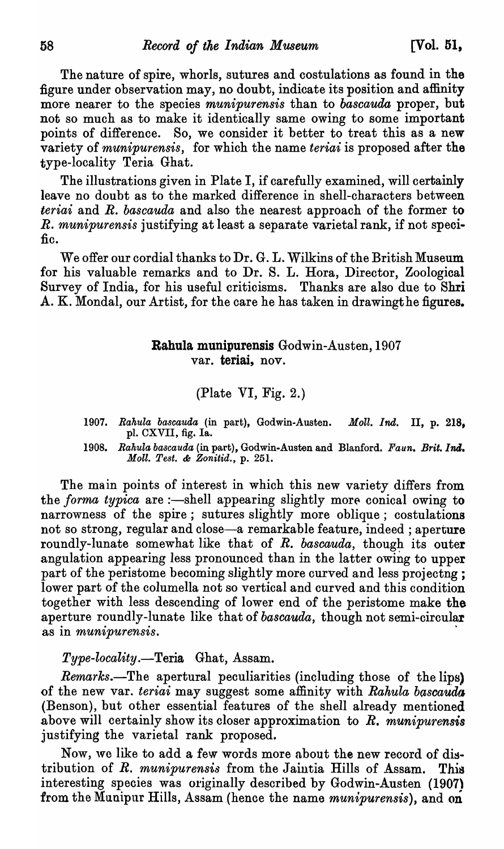The nature of spire, whorls, sutures and costulations as found in the figure under observation may, no doubt, indicate its position and affinity more nearer to the species *munipurensis* than to *bascauda* proper, but not so much as to make it identically same owing to some important points of difference. So, we consider it better to treat this as a new variety of *munipurensis,* for which the name *teriai* is proposed after the type-locality Teria Ghat.

The illustrations given in Plate I, if carefully examined, will certainly leave no doubt as to the marked difference in shell-characters between *teriai* and *R. bascauda* and also the nearest approach of the former to *R. munipurensis* justifying at least a separate varietal rank, if not specific.

We offer our cordial thanks to Dr. G. L. Wilkins of the British Museum for his valuable remarks and to Dr. S. L. Rora, Director, Zoological Survey of India, for his useful criticisms. Thanks are also due to Shri A. K. Mondal, our Artist, for the care he has taken in drawingthe figures.

# Rahula munipurensis Godwin-Austen, 1907 var. teriai, nov.

### (Plate VI, Fig. 2.)

- *1907. Bakula bascauda* (in part), Godwin-Austen. *Moll. Ind.* II, p. 218, pl. CXVII, fig. Ia.
- *1908. Bakula bascauda* (in part), Godwin-Austen and Blanford. *Faun. Brit.1nil. Moll. Te8t.* & *Zonitid.,* p. 251.

The main points of interest in which this new variety differs from the *forma typica* are :—shell appearing slightly more conical owing to narrowness of the spire; sutures slightly more oblique; costulations not so strong, regular and close-a remarkable feature, indeed; aperture roundly-lunate somewhat like that of *R. bascauda,* though its outer angulation appearing less pronounced than in the latter owing to upper part of the peristome becoming slightly more curved and less projectng; lower part of the columella not so vertical and curved and this condition together with less descending of lower end of the peristome make the aperture roundly-lunate like that of *bascauda,* though not semi-circular as in *munipurensis. .* 

### *Type-locality.-Teria* Ghat, Assam.

*Remarks.*—The apertural peculiarities (including those of the lips) of the new var. *teriai* may suggest some affinity with *Rahula bascauda* (Benson), but other essential features of the shell already mentioned above will certainly show its closer approximation to  $R$ , munipurensis justifying the varietal rank proposed.

Now, we like to add a few words more about the new record of distribution of *R. munipurensis* from the Jaintia Hills of Assam. This interesting species was originally described by Godwin-Austen (1907\ from the Munipur Hills, Assam (hence the name *munipurensis),* and on